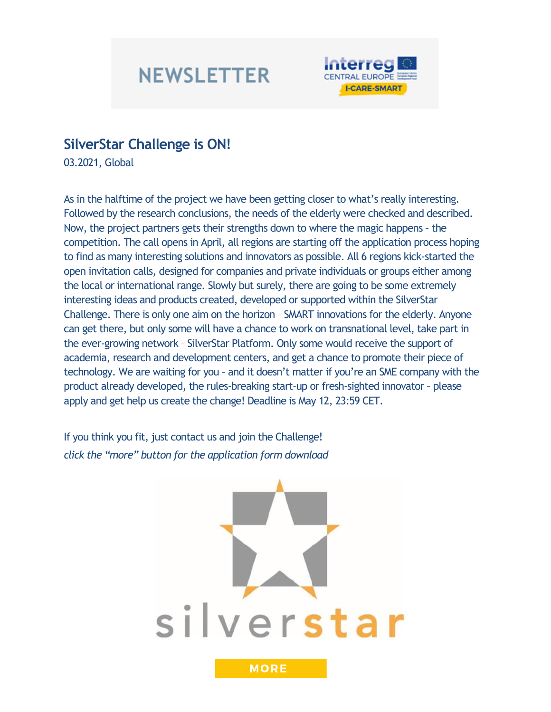# **NEWSLETTER**



### **SilverStar Challenge is ON!**

03.2021, Global

As in the halftime of the project we have been getting closer to what's really interesting. Followed by the research conclusions, the needs of the elderly were checked and described. Now, the project partners gets their strengths down to where the magic happens – the competition. The call opens in April, all regions are starting off the application process hoping to find as many interesting solutions and innovators as possible. All 6 regions kick-started the open invitation calls, designed for companies and private individuals or groups either among the local or international range. Slowly but surely, there are going to be some extremely interesting ideas and products created, developed or supported within the SilverStar Challenge. There is only one aim on the horizon – SMART innovations for the elderly. Anyone can get there, but only some will have a chance to work on transnational level, take part in the ever-growing network – SilverStar Platform. Only some would receive the support of academia, research and development centers, and get a chance to promote their piece of technology. We are waiting for you – and it doesn't matter if you're an SME company with the product already developed, the rules-breaking start-up or fresh-sighted innovator – please apply and get help us create the change! Deadline is May 12, 23:59 CET.

If you think you fit, just contact us and join the Challenge! *click the "more" button for the application form download*

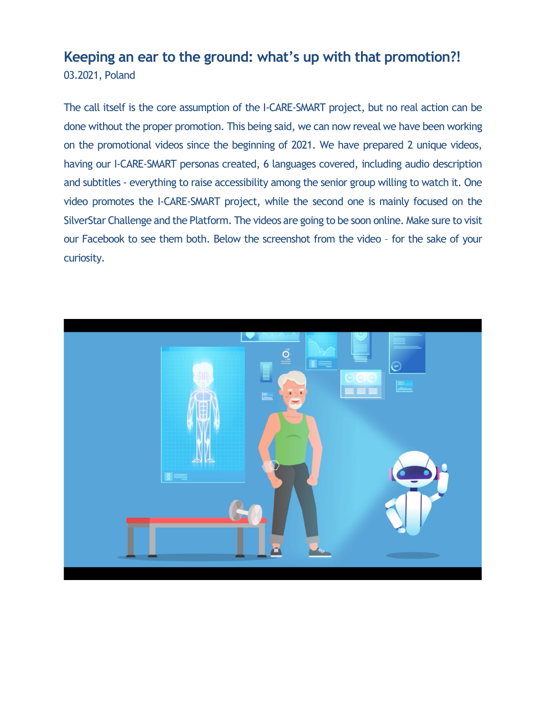#### **Keeping an ear to the ground: what's up with that promotion?!**  03.2021, Poland

The call itself is the core assumption of the I-CARE-SMART project, but no real action can be done without the proper promotion. This being said, we can now reveal we have been working on the promotional videos since the beginning of 2021. We have prepared 2 unique videos, having our I-CARE-SMART personas created, 6 languages covered, including audio description and subtitles - everything to raise accessibility among the senior group willing to watch it. One video promotes the I-CARE-SMART project, while the second one is mainly focused on the SilverStar Challenge and the Platform. The videos are going to be soon online. Make sure to visit our Facebook to see them both. Below the screenshot from the video – for the sake of your curiosity.

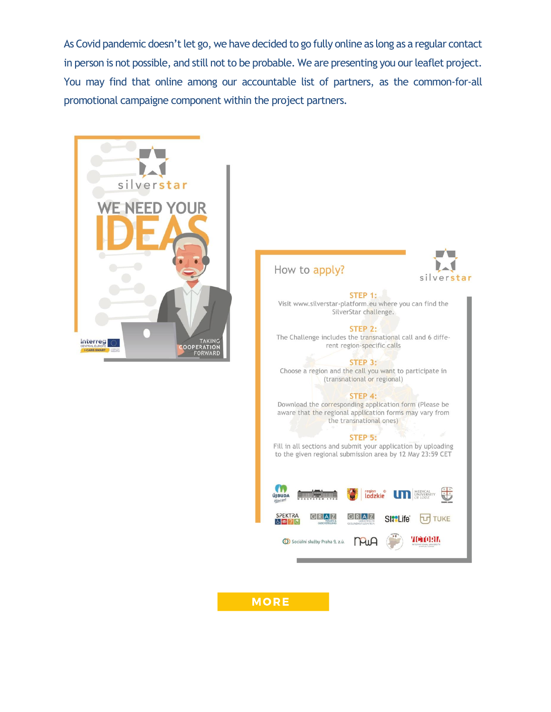As Covid pandemic doesn't let go, we have decided to go fully online as long as a regular contact in person is not possible, and still not to be probable. We are presenting you our leaflet project. You may find that online among our accountable list of partners, as the common-for-all promotional campaigne component within the project partners.





**MORE**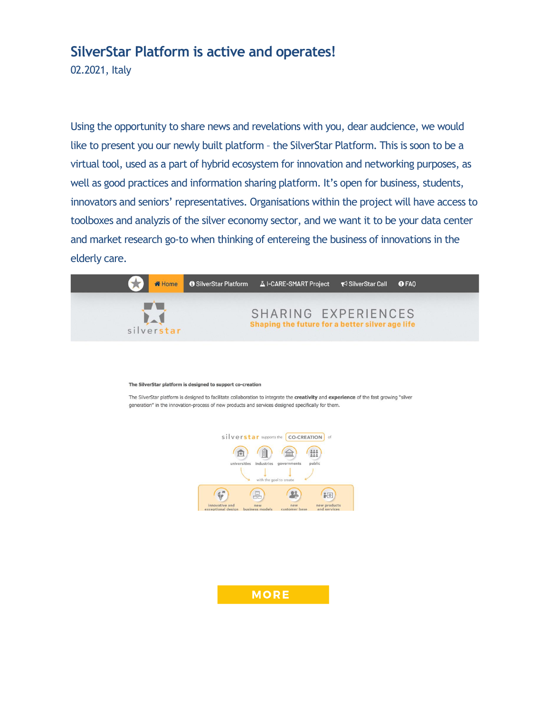#### **SilverStar Platform is active and operates!**

02.2021, Italy

Using the opportunity to share news and revelations with you, dear audcience, we would like to present you our newly built platform – the SilverStar Platform. This is soon to be a virtual tool, used as a part of hybrid ecosystem for innovation and networking purposes, as well as good practices and information sharing platform. It's open for business, students, innovators and seniors' representatives. Organisations within the project will have access to toolboxes and analyzis of the silver economy sector, and we want it to be your data center and market research go-to when thinking of entereing the business of innovations in the elderly care.



#### The SilverStar platform is designed to support co-creation

The SilverStar platform is designed to facilitate collaboration to integrate the creativity and experience of the fast growing "silver generation" in the innovation-process of new products and services designed specifically for them.



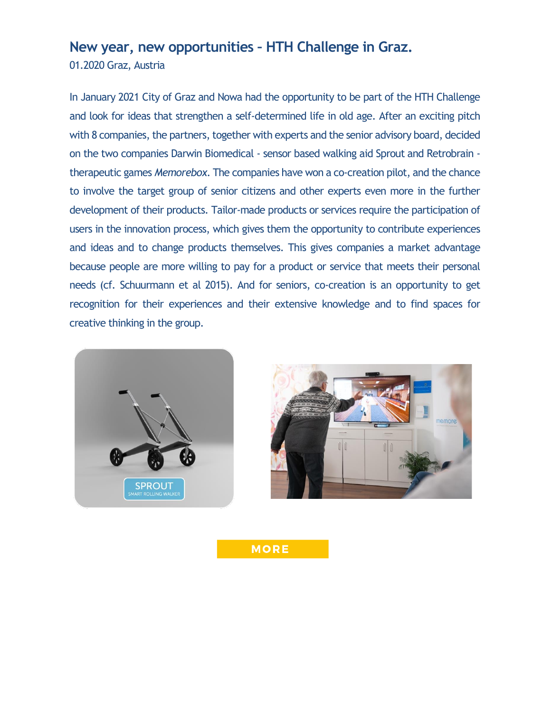# **New year, new opportunities – HTH Challenge in Graz.**

01.2020 Graz, Austria

In January 2021 City of Graz and Nowa had the opportunity to be part of the HTH Challenge and look for ideas that strengthen a self-determined life in old age. After an exciting pitch with 8 companies, the partners, together with experts and the senior advisory board, decided on the two companies Darwin Biomedical - sensor based walking aid Sprout and Retrobrain therapeutic games *Memorebox*. The companies have won a co-creation pilot, and the chance to involve the target group of senior citizens and other experts even more in the further development of their products. Tailor-made products or services require the participation of users in the innovation process, which gives them the opportunity to contribute experiences and ideas and to change products themselves. This gives companies a market advantage because people are more willing to pay for a product or service that meets their personal needs (cf. Schuurmann et al 2015). And for seniors, co-creation is an opportunity to get recognition for their experiences and their extensive knowledge and to find spaces for creative thinking in the group.





**MORE**